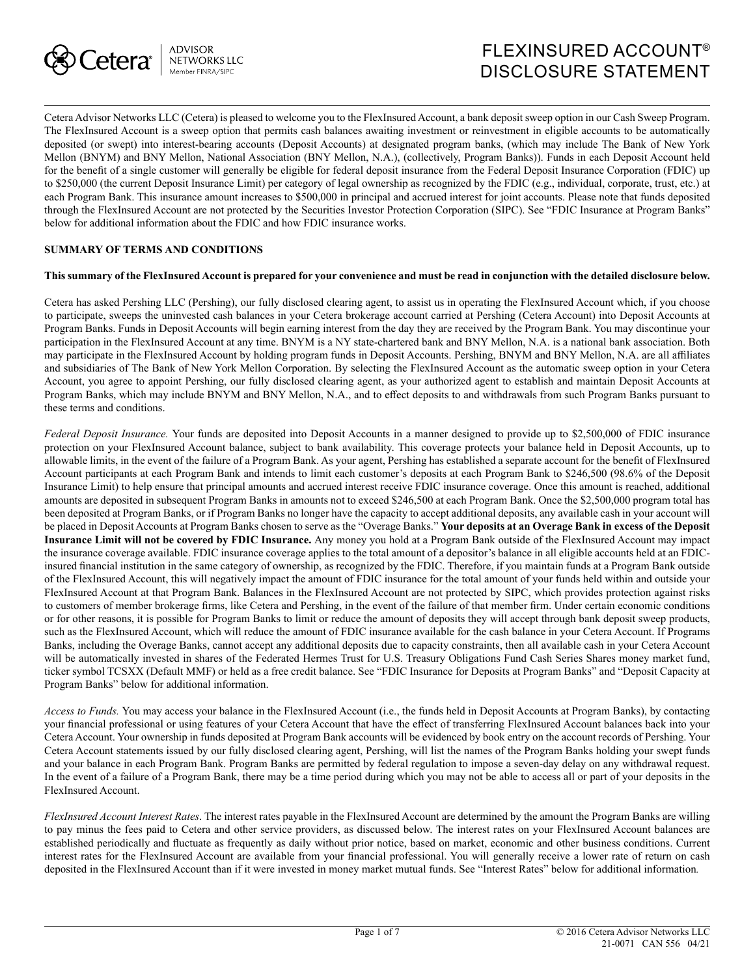

# FLEXINSURED ACCOUNT® DISCLOSURE STATEMENT

Cetera Advisor Networks LLC (Cetera) is pleased to welcome you to the FlexInsured Account, a bank deposit sweep option in our Cash Sweep Program. The FlexInsured Account is a sweep option that permits cash balances awaiting investment or reinvestment in eligible accounts to be automatically deposited (or swept) into interest-bearing accounts (Deposit Accounts) at designated program banks, (which may include The Bank of New York Mellon (BNYM) and BNY Mellon, National Association (BNY Mellon, N.A.), (collectively, Program Banks)). Funds in each Deposit Account held for the benefit of a single customer will generally be eligible for federal deposit insurance from the Federal Deposit Insurance Corporation (FDIC) up to \$250,000 (the current Deposit Insurance Limit) per category of legal ownership as recognized by the FDIC (e.g., individual, corporate, trust, etc.) at each Program Bank. This insurance amount increases to \$500,000 in principal and accrued interest for joint accounts. Please note that funds deposited through the FlexInsured Account are not protected by the Securities Investor Protection Corporation (SIPC). See "FDIC Insurance at Program Banks" below for additional information about the FDIC and how FDIC insurance works.

#### **SUMMARY OF TERMS AND CONDITIONS**

#### **This summary of the FlexInsured Account is prepared for your convenience and must be read in conjunction with the detailed disclosure below.**

Cetera has asked Pershing LLC (Pershing), our fully disclosed clearing agent, to assist us in operating the FlexInsured Account which, if you choose to participate, sweeps the uninvested cash balances in your Cetera brokerage account carried at Pershing (Cetera Account) into Deposit Accounts at Program Banks. Funds in Deposit Accounts will begin earning interest from the day they are received by the Program Bank. You may discontinue your participation in the FlexInsured Account at any time. BNYM is a NY state-chartered bank and BNY Mellon, N.A. is a national bank association. Both may participate in the FlexInsured Account by holding program funds in Deposit Accounts. Pershing, BNYM and BNY Mellon, N.A. are all affiliates and subsidiaries of The Bank of New York Mellon Corporation. By selecting the FlexInsured Account as the automatic sweep option in your Cetera Account, you agree to appoint Pershing, our fully disclosed clearing agent, as your authorized agent to establish and maintain Deposit Accounts at Program Banks, which may include BNYM and BNY Mellon, N.A., and to effect deposits to and withdrawals from such Program Banks pursuant to these terms and conditions.

*Federal Deposit Insurance.* Your funds are deposited into Deposit Accounts in a manner designed to provide up to \$2,500,000 of FDIC insurance protection on your FlexInsured Account balance, subject to bank availability. This coverage protects your balance held in Deposit Accounts, up to allowable limits, in the event of the failure of a Program Bank. As your agent, Pershing has established a separate account for the benefit of FlexInsured Account participants at each Program Bank and intends to limit each customer's deposits at each Program Bank to \$246,500 (98.6% of the Deposit Insurance Limit) to help ensure that principal amounts and accrued interest receive FDIC insurance coverage. Once this amount is reached, additional amounts are deposited in subsequent Program Banks in amounts not to exceed \$246,500 at each Program Bank. Once the \$2,500,000 program total has been deposited at Program Banks, or if Program Banks no longer have the capacity to accept additional deposits, any available cash in your account will be placed in Deposit Accounts at Program Banks chosen to serve as the "Overage Banks." **Your deposits at an Overage Bank in excess of the Deposit Insurance Limit will not be covered by FDIC Insurance.** Any money you hold at a Program Bank outside of the FlexInsured Account may impact the insurance coverage available. FDIC insurance coverage applies to the total amount of a depositor's balance in all eligible accounts held at an FDICinsured financial institution in the same category of ownership, as recognized by the FDIC. Therefore, if you maintain funds at a Program Bank outside of the FlexInsured Account, this will negatively impact the amount of FDIC insurance for the total amount of your funds held within and outside your FlexInsured Account at that Program Bank. Balances in the FlexInsured Account are not protected by SIPC, which provides protection against risks to customers of member brokerage firms, like Cetera and Pershing, in the event of the failure of that member firm. Under certain economic conditions or for other reasons, it is possible for Program Banks to limit or reduce the amount of deposits they will accept through bank deposit sweep products, such as the FlexInsured Account, which will reduce the amount of FDIC insurance available for the cash balance in your Cetera Account. If Programs Banks, including the Overage Banks, cannot accept any additional deposits due to capacity constraints, then all available cash in your Cetera Account will be automatically invested in shares of the Federated Hermes Trust for U.S. Treasury Obligations Fund Cash Series Shares money market fund, ticker symbol TCSXX (Default MMF) or held as a free credit balance. See "FDIC Insurance for Deposits at Program Banks" and "Deposit Capacity at Program Banks" below for additional information.

*Access to Funds.* You may access your balance in the FlexInsured Account (i.e., the funds held in Deposit Accounts at Program Banks), by contacting your financial professional or using features of your Cetera Account that have the effect of transferring FlexInsured Account balances back into your Cetera Account. Your ownership in funds deposited at Program Bank accounts will be evidenced by book entry on the account records of Pershing. Your Cetera Account statements issued by our fully disclosed clearing agent, Pershing, will list the names of the Program Banks holding your swept funds and your balance in each Program Bank. Program Banks are permitted by federal regulation to impose a seven-day delay on any withdrawal request. In the event of a failure of a Program Bank, there may be a time period during which you may not be able to access all or part of your deposits in the FlexInsured Account.

*FlexInsured Account Interest Rates*. The interest rates payable in the FlexInsured Account are determined by the amount the Program Banks are willing to pay minus the fees paid to Cetera and other service providers, as discussed below. The interest rates on your FlexInsured Account balances are established periodically and fluctuate as frequently as daily without prior notice, based on market, economic and other business conditions. Current interest rates for the FlexInsured Account are available from your financial professional. You will generally receive a lower rate of return on cash deposited in the FlexInsured Account than if it were invested in money market mutual funds. See "Interest Rates" below for additional information*.*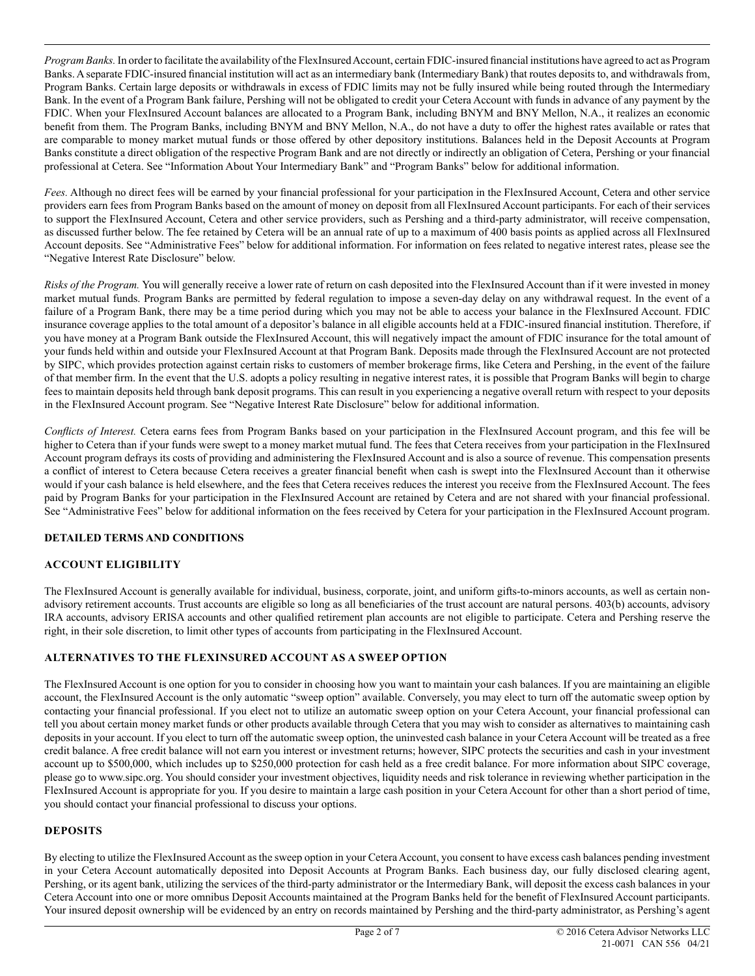*Program Banks.* In order to facilitate the availability of the FlexInsured Account, certain FDIC-insured financial institutions have agreed to act as Program Banks. A separate FDIC-insured financial institution will act as an intermediary bank (Intermediary Bank) that routes deposits to, and withdrawals from, Program Banks. Certain large deposits or withdrawals in excess of FDIC limits may not be fully insured while being routed through the Intermediary Bank. In the event of a Program Bank failure, Pershing will not be obligated to credit your Cetera Account with funds in advance of any payment by the FDIC. When your FlexInsured Account balances are allocated to a Program Bank, including BNYM and BNY Mellon, N.A., it realizes an economic benefit from them. The Program Banks, including BNYM and BNY Mellon, N.A., do not have a duty to offer the highest rates available or rates that are comparable to money market mutual funds or those offered by other depository institutions. Balances held in the Deposit Accounts at Program Banks constitute a direct obligation of the respective Program Bank and are not directly or indirectly an obligation of Cetera, Pershing or your financial professional at Cetera. See "Information About Your Intermediary Bank" and "Program Banks" below for additional information.

*Fees.* Although no direct fees will be earned by your financial professional for your participation in the FlexInsured Account, Cetera and other service providers earn fees from Program Banks based on the amount of money on deposit from all FlexInsured Account participants. For each of their services to support the FlexInsured Account, Cetera and other service providers, such as Pershing and a third-party administrator, will receive compensation, as discussed further below. The fee retained by Cetera will be an annual rate of up to a maximum of 400 basis points as applied across all FlexInsured Account deposits. See "Administrative Fees" below for additional information. For information on fees related to negative interest rates, please see the "Negative Interest Rate Disclosure" below.

*Risks of the Program.* You will generally receive a lower rate of return on cash deposited into the FlexInsured Account than if it were invested in money market mutual funds. Program Banks are permitted by federal regulation to impose a seven-day delay on any withdrawal request. In the event of a failure of a Program Bank, there may be a time period during which you may not be able to access your balance in the FlexInsured Account. FDIC insurance coverage applies to the total amount of a depositor's balance in all eligible accounts held at a FDIC-insured financial institution. Therefore, if you have money at a Program Bank outside the FlexInsured Account, this will negatively impact the amount of FDIC insurance for the total amount of your funds held within and outside your FlexInsured Account at that Program Bank. Deposits made through the FlexInsured Account are not protected by SIPC, which provides protection against certain risks to customers of member brokerage firms, like Cetera and Pershing, in the event of the failure of that member firm. In the event that the U.S. adopts a policy resulting in negative interest rates, it is possible that Program Banks will begin to charge fees to maintain deposits held through bank deposit programs. This can result in you experiencing a negative overall return with respect to your deposits in the FlexInsured Account program. See "Negative Interest Rate Disclosure" below for additional information.

*Conflicts of Interest.* Cetera earns fees from Program Banks based on your participation in the FlexInsured Account program, and this fee will be higher to Cetera than if your funds were swept to a money market mutual fund. The fees that Cetera receives from your participation in the FlexInsured Account program defrays its costs of providing and administering the FlexInsured Account and is also a source of revenue. This compensation presents a conflict of interest to Cetera because Cetera receives a greater financial benefit when cash is swept into the FlexInsured Account than it otherwise would if your cash balance is held elsewhere, and the fees that Cetera receives reduces the interest you receive from the FlexInsured Account. The fees paid by Program Banks for your participation in the FlexInsured Account are retained by Cetera and are not shared with your financial professional. See "Administrative Fees" below for additional information on the fees received by Cetera for your participation in the FlexInsured Account program.

# **DETAILED TERMS AND CONDITIONS**

# **ACCOUNT ELIGIBILITY**

The FlexInsured Account is generally available for individual, business, corporate, joint, and uniform gifts-to-minors accounts, as well as certain nonadvisory retirement accounts. Trust accounts are eligible so long as all beneficiaries of the trust account are natural persons. 403(b) accounts, advisory IRA accounts, advisory ERISA accounts and other qualified retirement plan accounts are not eligible to participate. Cetera and Pershing reserve the right, in their sole discretion, to limit other types of accounts from participating in the FlexInsured Account.

# **ALTERNATIVES TO THE FLEXINSURED ACCOUNT AS A SWEEP OPTION**

The FlexInsured Account is one option for you to consider in choosing how you want to maintain your cash balances. If you are maintaining an eligible account, the FlexInsured Account is the only automatic "sweep option" available. Conversely, you may elect to turn off the automatic sweep option by contacting your financial professional. If you elect not to utilize an automatic sweep option on your Cetera Account, your financial professional can tell you about certain money market funds or other products available through Cetera that you may wish to consider as alternatives to maintaining cash deposits in your account. If you elect to turn off the automatic sweep option, the uninvested cash balance in your Cetera Account will be treated as a free credit balance. A free credit balance will not earn you interest or investment returns; however, SIPC protects the securities and cash in your investment account up to \$500,000, which includes up to \$250,000 protection for cash held as a free credit balance. For more information about SIPC coverage, please go to www.sipc.org. You should consider your investment objectives, liquidity needs and risk tolerance in reviewing whether participation in the FlexInsured Account is appropriate for you. If you desire to maintain a large cash position in your Cetera Account for other than a short period of time, you should contact your financial professional to discuss your options.

#### **DEPOSITS**

By electing to utilize the FlexInsured Account as the sweep option in your Cetera Account, you consent to have excess cash balances pending investment in your Cetera Account automatically deposited into Deposit Accounts at Program Banks. Each business day, our fully disclosed clearing agent, Pershing, or its agent bank, utilizing the services of the third-party administrator or the Intermediary Bank, will deposit the excess cash balances in your Cetera Account into one or more omnibus Deposit Accounts maintained at the Program Banks held for the benefit of FlexInsured Account participants. Your insured deposit ownership will be evidenced by an entry on records maintained by Pershing and the third-party administrator, as Pershing's agent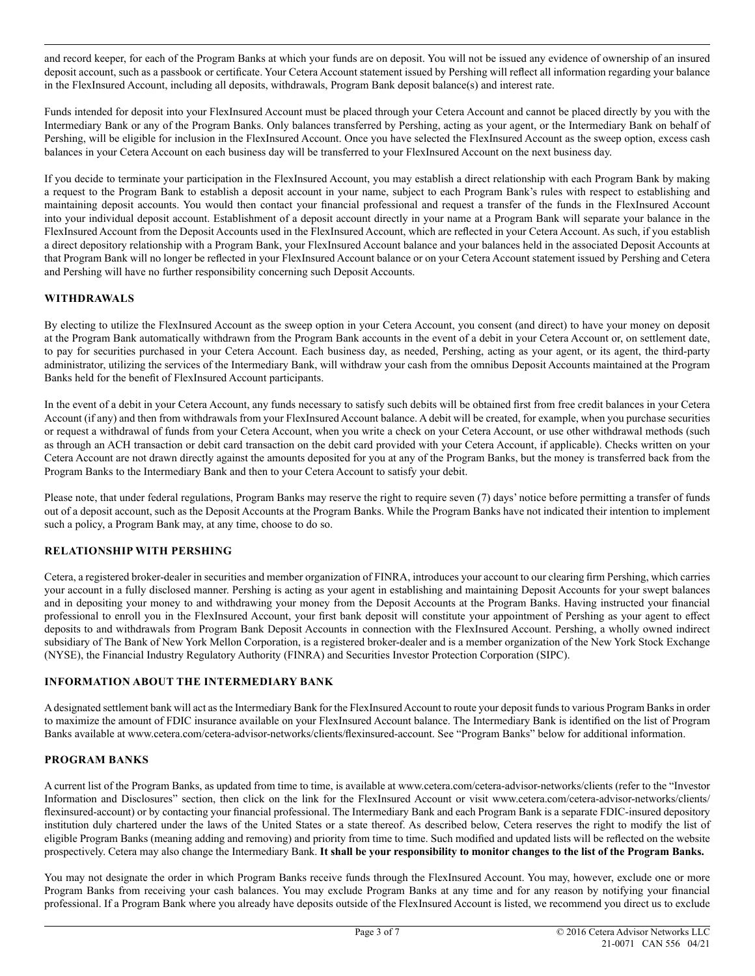and record keeper, for each of the Program Banks at which your funds are on deposit. You will not be issued any evidence of ownership of an insured deposit account, such as a passbook or certificate. Your Cetera Account statement issued by Pershing will reflect all information regarding your balance in the FlexInsured Account, including all deposits, withdrawals, Program Bank deposit balance(s) and interest rate.

Funds intended for deposit into your FlexInsured Account must be placed through your Cetera Account and cannot be placed directly by you with the Intermediary Bank or any of the Program Banks. Only balances transferred by Pershing, acting as your agent, or the Intermediary Bank on behalf of Pershing, will be eligible for inclusion in the FlexInsured Account. Once you have selected the FlexInsured Account as the sweep option, excess cash balances in your Cetera Account on each business day will be transferred to your FlexInsured Account on the next business day.

If you decide to terminate your participation in the FlexInsured Account, you may establish a direct relationship with each Program Bank by making a request to the Program Bank to establish a deposit account in your name, subject to each Program Bank's rules with respect to establishing and maintaining deposit accounts. You would then contact your financial professional and request a transfer of the funds in the FlexInsured Account into your individual deposit account. Establishment of a deposit account directly in your name at a Program Bank will separate your balance in the FlexInsured Account from the Deposit Accounts used in the FlexInsured Account, which are reflected in your Cetera Account. As such, if you establish a direct depository relationship with a Program Bank, your FlexInsured Account balance and your balances held in the associated Deposit Accounts at that Program Bank will no longer be reflected in your FlexInsured Account balance or on your Cetera Account statement issued by Pershing and Cetera and Pershing will have no further responsibility concerning such Deposit Accounts.

# **WITHDRAWALS**

By electing to utilize the FlexInsured Account as the sweep option in your Cetera Account, you consent (and direct) to have your money on deposit at the Program Bank automatically withdrawn from the Program Bank accounts in the event of a debit in your Cetera Account or, on settlement date, to pay for securities purchased in your Cetera Account. Each business day, as needed, Pershing, acting as your agent, or its agent, the third-party administrator, utilizing the services of the Intermediary Bank, will withdraw your cash from the omnibus Deposit Accounts maintained at the Program Banks held for the benefit of FlexInsured Account participants.

In the event of a debit in your Cetera Account, any funds necessary to satisfy such debits will be obtained first from free credit balances in your Cetera Account (if any) and then from withdrawals from your FlexInsured Account balance. A debit will be created, for example, when you purchase securities or request a withdrawal of funds from your Cetera Account, when you write a check on your Cetera Account, or use other withdrawal methods (such as through an ACH transaction or debit card transaction on the debit card provided with your Cetera Account, if applicable). Checks written on your Cetera Account are not drawn directly against the amounts deposited for you at any of the Program Banks, but the money is transferred back from the Program Banks to the Intermediary Bank and then to your Cetera Account to satisfy your debit.

Please note, that under federal regulations, Program Banks may reserve the right to require seven (7) days' notice before permitting a transfer of funds out of a deposit account, such as the Deposit Accounts at the Program Banks. While the Program Banks have not indicated their intention to implement such a policy, a Program Bank may, at any time, choose to do so.

# **RELATIONSHIP WITH PERSHING**

Cetera, a registered broker-dealer in securities and member organization of FINRA, introduces your account to our clearing firm Pershing, which carries your account in a fully disclosed manner. Pershing is acting as your agent in establishing and maintaining Deposit Accounts for your swept balances and in depositing your money to and withdrawing your money from the Deposit Accounts at the Program Banks. Having instructed your financial professional to enroll you in the FlexInsured Account, your first bank deposit will constitute your appointment of Pershing as your agent to effect deposits to and withdrawals from Program Bank Deposit Accounts in connection with the FlexInsured Account. Pershing, a wholly owned indirect subsidiary of The Bank of New York Mellon Corporation, is a registered broker-dealer and is a member organization of the New York Stock Exchange (NYSE), the Financial Industry Regulatory Authority (FINRA) and Securities Investor Protection Corporation (SIPC).

# **INFORMATION ABOUT THE INTERMEDIARY BANK**

A designated settlement bank will act as the Intermediary Bank for the FlexInsured Account to route your deposit funds to various Program Banks in order to maximize the amount of FDIC insurance available on your FlexInsured Account balance. The Intermediary Bank is identified on the list of Program Banks available at www.cetera.com/cetera-advisor-networks/clients/flexinsured-account. See "Program Banks" below for additional information.

# **PROGRAM BANKS**

A current list of the Program Banks, as updated from time to time, is available at www.cetera.com/cetera-advisor-networks/clients (refer to the "Investor Information and Disclosures" section, then click on the link for the FlexInsured Account or visit www.cetera.com/cetera-advisor-networks/clients/ flexinsured-account) or by contacting your financial professional. The Intermediary Bank and each Program Bank is a separate FDIC-insured depository institution duly chartered under the laws of the United States or a state thereof. As described below, Cetera reserves the right to modify the list of eligible Program Banks (meaning adding and removing) and priority from time to time. Such modified and updated lists will be reflected on the website prospectively. Cetera may also change the Intermediary Bank. **It shall be your responsibility to monitor changes to the list of the Program Banks.**

You may not designate the order in which Program Banks receive funds through the FlexInsured Account. You may, however, exclude one or more Program Banks from receiving your cash balances. You may exclude Program Banks at any time and for any reason by notifying your financial professional. If a Program Bank where you already have deposits outside of the FlexInsured Account is listed, we recommend you direct us to exclude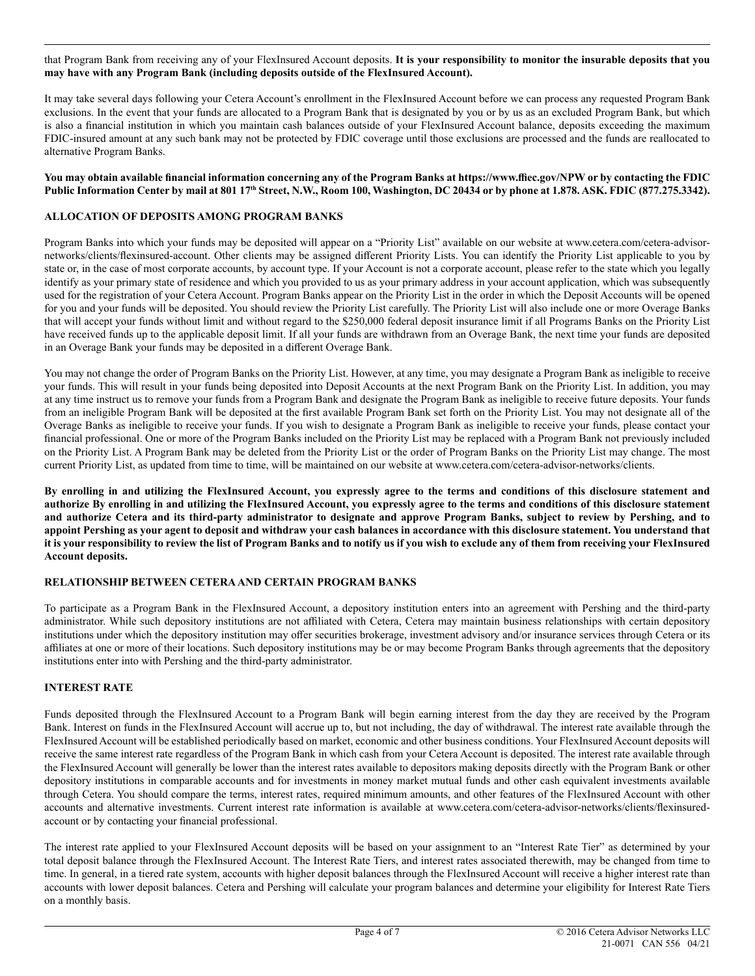#### that Program Bank from receiving any of your FlexInsured Account deposits. **It is your responsibility to monitor the insurable deposits that you may have with any Program Bank (including deposits outside of the FlexInsured Account).**

It may take several days following your Cetera Account's enrollment in the FlexInsured Account before we can process any requested Program Bank exclusions. In the event that your funds are allocated to a Program Bank that is designated by you or by us as an excluded Program Bank, but which is also a financial institution in which you maintain cash balances outside of your FlexInsured Account balance, deposits exceeding the maximum FDIC-insured amount at any such bank may not be protected by FDIC coverage until those exclusions are processed and the funds are reallocated to alternative Program Banks.

#### **You may obtain available financial information concerning any of the Program Banks at https://www.ffiec.gov/NPW or by contacting the FDIC Public Information Center by mail at 801 17th Street, N.W., Room 100, Washington, DC 20434 or by phone at 1.878. ASK. FDIC (877.275.3342).**

## **ALLOCATION OF DEPOSITS AMONG PROGRAM BANKS**

Program Banks into which your funds may be deposited will appear on a "Priority List" available on our website at www.cetera.com/cetera-advisornetworks/clients/flexinsured-account. Other clients may be assigned different Priority Lists. You can identify the Priority List applicable to you by state or, in the case of most corporate accounts, by account type. If your Account is not a corporate account, please refer to the state which you legally identify as your primary state of residence and which you provided to us as your primary address in your account application, which was subsequently used for the registration of your Cetera Account. Program Banks appear on the Priority List in the order in which the Deposit Accounts will be opened for you and your funds will be deposited. You should review the Priority List carefully. The Priority List will also include one or more Overage Banks that will accept your funds without limit and without regard to the \$250,000 federal deposit insurance limit if all Programs Banks on the Priority List have received funds up to the applicable deposit limit. If all your funds are withdrawn from an Overage Bank, the next time your funds are deposited in an Overage Bank your funds may be deposited in a different Overage Bank.

You may not change the order of Program Banks on the Priority List. However, at any time, you may designate a Program Bank as ineligible to receive your funds. This will result in your funds being deposited into Deposit Accounts at the next Program Bank on the Priority List. In addition, you may at any time instruct us to remove your funds from a Program Bank and designate the Program Bank as ineligible to receive future deposits. Your funds from an ineligible Program Bank will be deposited at the first available Program Bank set forth on the Priority List. You may not designate all of the Overage Banks as ineligible to receive your funds. If you wish to designate a Program Bank as ineligible to receive your funds, please contact your financial professional. One or more of the Program Banks included on the Priority List may be replaced with a Program Bank not previously included on the Priority List. A Program Bank may be deleted from the Priority List or the order of Program Banks on the Priority List may change. The most current Priority List, as updated from time to time, will be maintained on our website at www.cetera.com/cetera-advisor-networks/clients.

**By enrolling in and utilizing the FlexInsured Account, you expressly agree to the terms and conditions of this disclosure statement and authorize By enrolling in and utilizing the FlexInsured Account, you expressly agree to the terms and conditions of this disclosure statement and authorize Cetera and its third-party administrator to designate and approve Program Banks, subject to review by Pershing, and to appoint Pershing as your agent to deposit and withdraw your cash balances in accordance with this disclosure statement. You understand that it is your responsibility to review the list of Program Banks and to notify us if you wish to exclude any of them from receiving your FlexInsured Account deposits.**

#### **RELATIONSHIP BETWEEN CETERA AND CERTAIN PROGRAM BANKS**

To participate as a Program Bank in the FlexInsured Account, a depository institution enters into an agreement with Pershing and the third-party administrator. While such depository institutions are not affiliated with Cetera, Cetera may maintain business relationships with certain depository institutions under which the depository institution may offer securities brokerage, investment advisory and/or insurance services through Cetera or its affiliates at one or more of their locations. Such depository institutions may be or may become Program Banks through agreements that the depository institutions enter into with Pershing and the third-party administrator.

#### **INTEREST RATE**

Funds deposited through the FlexInsured Account to a Program Bank will begin earning interest from the day they are received by the Program Bank. Interest on funds in the FlexInsured Account will accrue up to, but not including, the day of withdrawal. The interest rate available through the FlexInsured Account will be established periodically based on market, economic and other business conditions. Your FlexInsured Account deposits will receive the same interest rate regardless of the Program Bank in which cash from your Cetera Account is deposited. The interest rate available through the FlexInsured Account will generally be lower than the interest rates available to depositors making deposits directly with the Program Bank or other depository institutions in comparable accounts and for investments in money market mutual funds and other cash equivalent investments available through Cetera. You should compare the terms, interest rates, required minimum amounts, and other features of the FlexInsured Account with other accounts and alternative investments. Current interest rate information is available at www.cetera.com/cetera-advisor-networks/clients/flexinsuredaccount or by contacting your financial professional.

The interest rate applied to your FlexInsured Account deposits will be based on your assignment to an "Interest Rate Tier" as determined by your total deposit balance through the FlexInsured Account. The Interest Rate Tiers, and interest rates associated therewith, may be changed from time to time. In general, in a tiered rate system, accounts with higher deposit balances through the FlexInsured Account will receive a higher interest rate than accounts with lower deposit balances. Cetera and Pershing will calculate your program balances and determine your eligibility for Interest Rate Tiers on a monthly basis.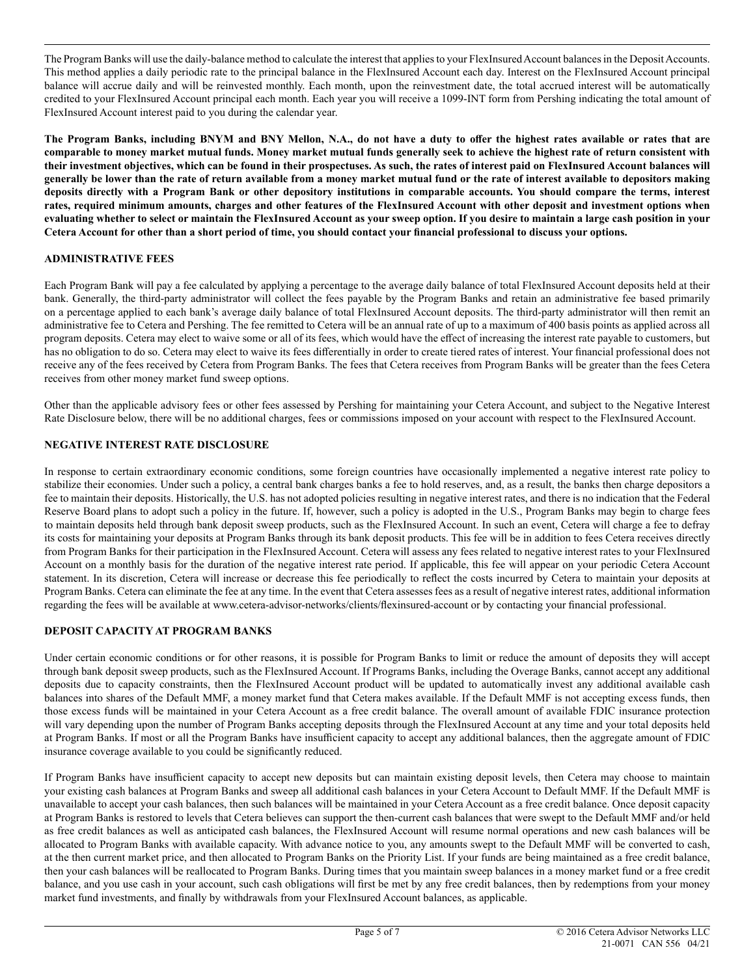The Program Banks will use the daily-balance method to calculate the interest that applies to your FlexInsured Account balances in the Deposit Accounts. This method applies a daily periodic rate to the principal balance in the FlexInsured Account each day. Interest on the FlexInsured Account principal balance will accrue daily and will be reinvested monthly. Each month, upon the reinvestment date, the total accrued interest will be automatically credited to your FlexInsured Account principal each month. Each year you will receive a 1099-INT form from Pershing indicating the total amount of FlexInsured Account interest paid to you during the calendar year.

**The Program Banks, including BNYM and BNY Mellon, N.A., do not have a duty to offer the highest rates available or rates that are comparable to money market mutual funds. Money market mutual funds generally seek to achieve the highest rate of return consistent with their investment objectives, which can be found in their prospectuses. As such, the rates of interest paid on FlexInsured Account balances will generally be lower than the rate of return available from a money market mutual fund or the rate of interest available to depositors making deposits directly with a Program Bank or other depository institutions in comparable accounts. You should compare the terms, interest rates, required minimum amounts, charges and other features of the FlexInsured Account with other deposit and investment options when evaluating whether to select or maintain the FlexInsured Account as your sweep option. If you desire to maintain a large cash position in your Cetera Account for other than a short period of time, you should contact your financial professional to discuss your options.**

## **ADMINISTRATIVE FEES**

Each Program Bank will pay a fee calculated by applying a percentage to the average daily balance of total FlexInsured Account deposits held at their bank. Generally, the third-party administrator will collect the fees payable by the Program Banks and retain an administrative fee based primarily on a percentage applied to each bank's average daily balance of total FlexInsured Account deposits. The third-party administrator will then remit an administrative fee to Cetera and Pershing. The fee remitted to Cetera will be an annual rate of up to a maximum of 400 basis points as applied across all program deposits. Cetera may elect to waive some or all of its fees, which would have the effect of increasing the interest rate payable to customers, but has no obligation to do so. Cetera may elect to waive its fees differentially in order to create tiered rates of interest. Your financial professional does not receive any of the fees received by Cetera from Program Banks. The fees that Cetera receives from Program Banks will be greater than the fees Cetera receives from other money market fund sweep options.

Other than the applicable advisory fees or other fees assessed by Pershing for maintaining your Cetera Account, and subject to the Negative Interest Rate Disclosure below, there will be no additional charges, fees or commissions imposed on your account with respect to the FlexInsured Account.

#### **NEGATIVE INTEREST RATE DISCLOSURE**

In response to certain extraordinary economic conditions, some foreign countries have occasionally implemented a negative interest rate policy to stabilize their economies. Under such a policy, a central bank charges banks a fee to hold reserves, and, as a result, the banks then charge depositors a fee to maintain their deposits. Historically, the U.S. has not adopted policies resulting in negative interest rates, and there is no indication that the Federal Reserve Board plans to adopt such a policy in the future. If, however, such a policy is adopted in the U.S., Program Banks may begin to charge fees to maintain deposits held through bank deposit sweep products, such as the FlexInsured Account. In such an event, Cetera will charge a fee to defray its costs for maintaining your deposits at Program Banks through its bank deposit products. This fee will be in addition to fees Cetera receives directly from Program Banks for their participation in the FlexInsured Account. Cetera will assess any fees related to negative interest rates to your FlexInsured Account on a monthly basis for the duration of the negative interest rate period. If applicable, this fee will appear on your periodic Cetera Account statement. In its discretion, Cetera will increase or decrease this fee periodically to reflect the costs incurred by Cetera to maintain your deposits at Program Banks. Cetera can eliminate the fee at any time. In the event that Cetera assesses fees as a result of negative interest rates, additional information regarding the fees will be available at www.cetera-advisor-networks/clients/flexinsured-account or by contacting your financial professional.

# **DEPOSIT CAPACITY AT PROGRAM BANKS**

Under certain economic conditions or for other reasons, it is possible for Program Banks to limit or reduce the amount of deposits they will accept through bank deposit sweep products, such as the FlexInsured Account. If Programs Banks, including the Overage Banks, cannot accept any additional deposits due to capacity constraints, then the FlexInsured Account product will be updated to automatically invest any additional available cash balances into shares of the Default MMF, a money market fund that Cetera makes available. If the Default MMF is not accepting excess funds, then those excess funds will be maintained in your Cetera Account as a free credit balance. The overall amount of available FDIC insurance protection will vary depending upon the number of Program Banks accepting deposits through the FlexInsured Account at any time and your total deposits held at Program Banks. If most or all the Program Banks have insufficient capacity to accept any additional balances, then the aggregate amount of FDIC insurance coverage available to you could be significantly reduced.

If Program Banks have insufficient capacity to accept new deposits but can maintain existing deposit levels, then Cetera may choose to maintain your existing cash balances at Program Banks and sweep all additional cash balances in your Cetera Account to Default MMF. If the Default MMF is unavailable to accept your cash balances, then such balances will be maintained in your Cetera Account as a free credit balance. Once deposit capacity at Program Banks is restored to levels that Cetera believes can support the then-current cash balances that were swept to the Default MMF and/or held as free credit balances as well as anticipated cash balances, the FlexInsured Account will resume normal operations and new cash balances will be allocated to Program Banks with available capacity. With advance notice to you, any amounts swept to the Default MMF will be converted to cash, at the then current market price, and then allocated to Program Banks on the Priority List. If your funds are being maintained as a free credit balance, then your cash balances will be reallocated to Program Banks. During times that you maintain sweep balances in a money market fund or a free credit balance, and you use cash in your account, such cash obligations will first be met by any free credit balances, then by redemptions from your money market fund investments, and finally by withdrawals from your FlexInsured Account balances, as applicable.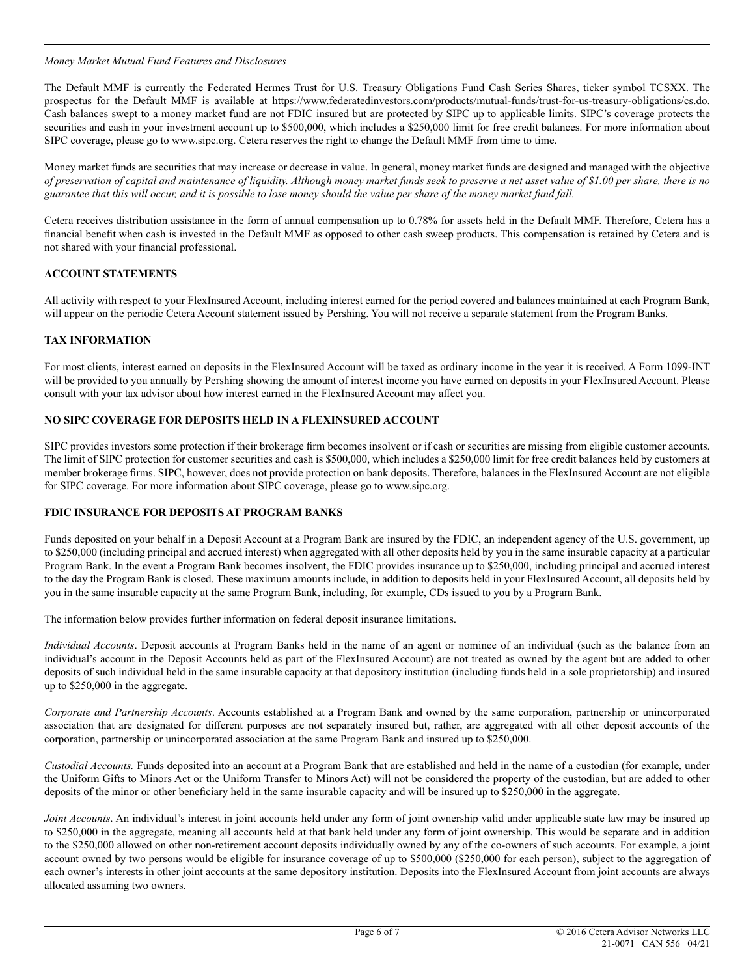#### *Money Market Mutual Fund Features and Disclosures*

The Default MMF is currently the Federated Hermes Trust for U.S. Treasury Obligations Fund Cash Series Shares, ticker symbol TCSXX. The prospectus for the Default MMF is available at https://www.federatedinvestors.com/products/mutual-funds/trust-for-us-treasury-obligations/cs.do. Cash balances swept to a money market fund are not FDIC insured but are protected by SIPC up to applicable limits. SIPC's coverage protects the securities and cash in your investment account up to \$500,000, which includes a \$250,000 limit for free credit balances. For more information about SIPC coverage, please go to www.sipc.org. Cetera reserves the right to change the Default MMF from time to time.

Money market funds are securities that may increase or decrease in value. In general, money market funds are designed and managed with the objective *of preservation of capital and maintenance of liquidity. Although money market funds seek to preserve a net asset value of \$1.00 per share, there is no guarantee that this will occur, and it is possible to lose money should the value per share of the money market fund fall.*

Cetera receives distribution assistance in the form of annual compensation up to 0.78% for assets held in the Default MMF. Therefore, Cetera has a financial benefit when cash is invested in the Default MMF as opposed to other cash sweep products. This compensation is retained by Cetera and is not shared with your financial professional.

# **ACCOUNT STATEMENTS**

All activity with respect to your FlexInsured Account, including interest earned for the period covered and balances maintained at each Program Bank, will appear on the periodic Cetera Account statement issued by Pershing. You will not receive a separate statement from the Program Banks.

# **TAX INFORMATION**

For most clients, interest earned on deposits in the FlexInsured Account will be taxed as ordinary income in the year it is received. A Form 1099-INT will be provided to you annually by Pershing showing the amount of interest income you have earned on deposits in your FlexInsured Account. Please consult with your tax advisor about how interest earned in the FlexInsured Account may affect you.

## **NO SIPC COVERAGE FOR DEPOSITS HELD IN A FLEXINSURED ACCOUNT**

SIPC provides investors some protection if their brokerage firm becomes insolvent or if cash or securities are missing from eligible customer accounts. The limit of SIPC protection for customer securities and cash is \$500,000, which includes a \$250,000 limit for free credit balances held by customers at member brokerage firms. SIPC, however, does not provide protection on bank deposits. Therefore, balances in the FlexInsured Account are not eligible for SIPC coverage. For more information about SIPC coverage, please go to www.sipc.org.

#### **FDIC INSURANCE FOR DEPOSITS AT PROGRAM BANKS**

Funds deposited on your behalf in a Deposit Account at a Program Bank are insured by the FDIC, an independent agency of the U.S. government, up to \$250,000 (including principal and accrued interest) when aggregated with all other deposits held by you in the same insurable capacity at a particular Program Bank. In the event a Program Bank becomes insolvent, the FDIC provides insurance up to \$250,000, including principal and accrued interest to the day the Program Bank is closed. These maximum amounts include, in addition to deposits held in your FlexInsured Account, all deposits held by you in the same insurable capacity at the same Program Bank, including, for example, CDs issued to you by a Program Bank.

The information below provides further information on federal deposit insurance limitations.

*Individual Accounts*. Deposit accounts at Program Banks held in the name of an agent or nominee of an individual (such as the balance from an individual's account in the Deposit Accounts held as part of the FlexInsured Account) are not treated as owned by the agent but are added to other deposits of such individual held in the same insurable capacity at that depository institution (including funds held in a sole proprietorship) and insured up to \$250,000 in the aggregate.

*Corporate and Partnership Accounts*. Accounts established at a Program Bank and owned by the same corporation, partnership or unincorporated association that are designated for different purposes are not separately insured but, rather, are aggregated with all other deposit accounts of the corporation, partnership or unincorporated association at the same Program Bank and insured up to \$250,000.

*Custodial Accounts.* Funds deposited into an account at a Program Bank that are established and held in the name of a custodian (for example, under the Uniform Gifts to Minors Act or the Uniform Transfer to Minors Act) will not be considered the property of the custodian, but are added to other deposits of the minor or other beneficiary held in the same insurable capacity and will be insured up to \$250,000 in the aggregate.

*Joint Accounts*. An individual's interest in joint accounts held under any form of joint ownership valid under applicable state law may be insured up to \$250,000 in the aggregate, meaning all accounts held at that bank held under any form of joint ownership. This would be separate and in addition to the \$250,000 allowed on other non-retirement account deposits individually owned by any of the co-owners of such accounts. For example, a joint account owned by two persons would be eligible for insurance coverage of up to \$500,000 (\$250,000 for each person), subject to the aggregation of each owner's interests in other joint accounts at the same depository institution. Deposits into the FlexInsured Account from joint accounts are always allocated assuming two owners.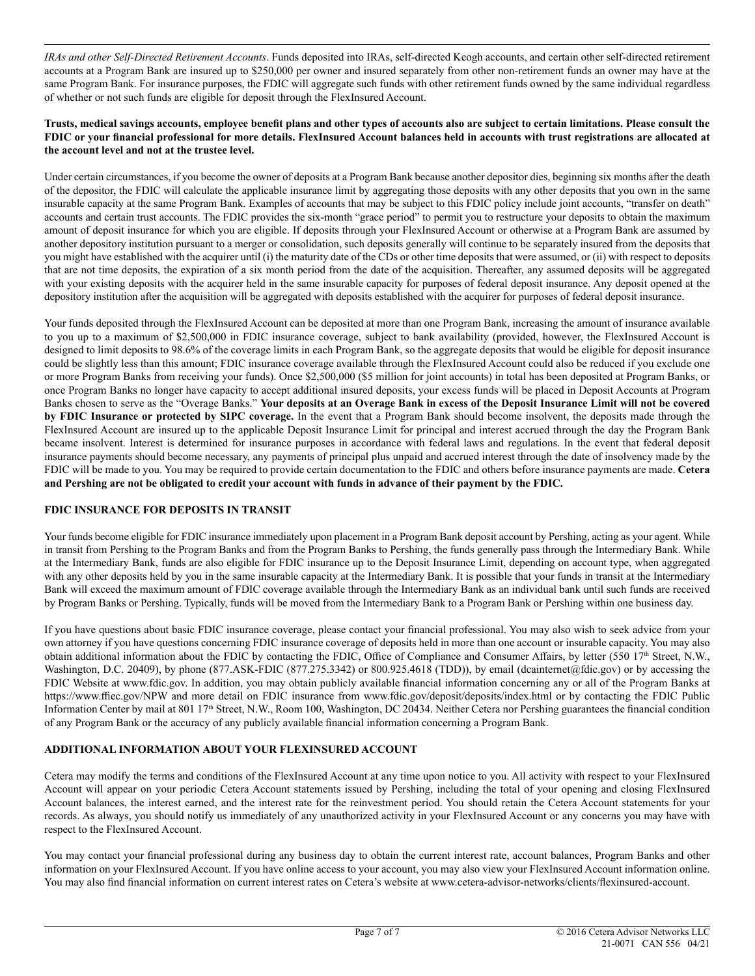*IRAs and other Self-Directed Retirement Accounts*. Funds deposited into IRAs, self-directed Keogh accounts, and certain other self-directed retirement accounts at a Program Bank are insured up to \$250,000 per owner and insured separately from other non-retirement funds an owner may have at the same Program Bank. For insurance purposes, the FDIC will aggregate such funds with other retirement funds owned by the same individual regardless of whether or not such funds are eligible for deposit through the FlexInsured Account.

#### **Trusts, medical savings accounts, employee benefit plans and other types of accounts also are subject to certain limitations. Please consult the FDIC or your financial professional for more details. FlexInsured Account balances held in accounts with trust registrations are allocated at the account level and not at the trustee level.**

Under certain circumstances, if you become the owner of deposits at a Program Bank because another depositor dies, beginning six months after the death of the depositor, the FDIC will calculate the applicable insurance limit by aggregating those deposits with any other deposits that you own in the same insurable capacity at the same Program Bank. Examples of accounts that may be subject to this FDIC policy include joint accounts, "transfer on death" accounts and certain trust accounts. The FDIC provides the six-month "grace period" to permit you to restructure your deposits to obtain the maximum amount of deposit insurance for which you are eligible. If deposits through your FlexInsured Account or otherwise at a Program Bank are assumed by another depository institution pursuant to a merger or consolidation, such deposits generally will continue to be separately insured from the deposits that you might have established with the acquirer until (i) the maturity date of the CDs or other time deposits that were assumed, or (ii) with respect to deposits that are not time deposits, the expiration of a six month period from the date of the acquisition. Thereafter, any assumed deposits will be aggregated with your existing deposits with the acquirer held in the same insurable capacity for purposes of federal deposit insurance. Any deposit opened at the depository institution after the acquisition will be aggregated with deposits established with the acquirer for purposes of federal deposit insurance.

Your funds deposited through the FlexInsured Account can be deposited at more than one Program Bank, increasing the amount of insurance available to you up to a maximum of \$2,500,000 in FDIC insurance coverage, subject to bank availability (provided, however, the FlexInsured Account is designed to limit deposits to 98.6% of the coverage limits in each Program Bank, so the aggregate deposits that would be eligible for deposit insurance could be slightly less than this amount; FDIC insurance coverage available through the FlexInsured Account could also be reduced if you exclude one or more Program Banks from receiving your funds). Once \$2,500,000 (\$5 million for joint accounts) in total has been deposited at Program Banks, or once Program Banks no longer have capacity to accept additional insured deposits, your excess funds will be placed in Deposit Accounts at Program Banks chosen to serve as the "Overage Banks." **Your deposits at an Overage Bank in excess of the Deposit Insurance Limit will not be covered by FDIC Insurance or protected by SIPC coverage.** In the event that a Program Bank should become insolvent, the deposits made through the FlexInsured Account are insured up to the applicable Deposit Insurance Limit for principal and interest accrued through the day the Program Bank became insolvent. Interest is determined for insurance purposes in accordance with federal laws and regulations. In the event that federal deposit insurance payments should become necessary, any payments of principal plus unpaid and accrued interest through the date of insolvency made by the FDIC will be made to you. You may be required to provide certain documentation to the FDIC and others before insurance payments are made. **Cetera and Pershing are not be obligated to credit your account with funds in advance of their payment by the FDIC.**

# **FDIC INSURANCE FOR DEPOSITS IN TRANSIT**

Your funds become eligible for FDIC insurance immediately upon placement in a Program Bank deposit account by Pershing, acting as your agent. While in transit from Pershing to the Program Banks and from the Program Banks to Pershing, the funds generally pass through the Intermediary Bank. While at the Intermediary Bank, funds are also eligible for FDIC insurance up to the Deposit Insurance Limit, depending on account type, when aggregated with any other deposits held by you in the same insurable capacity at the Intermediary Bank. It is possible that your funds in transit at the Intermediary Bank will exceed the maximum amount of FDIC coverage available through the Intermediary Bank as an individual bank until such funds are received by Program Banks or Pershing. Typically, funds will be moved from the Intermediary Bank to a Program Bank or Pershing within one business day.

If you have questions about basic FDIC insurance coverage, please contact your financial professional. You may also wish to seek advice from your own attorney if you have questions concerning FDIC insurance coverage of deposits held in more than one account or insurable capacity. You may also obtain additional information about the FDIC by contacting the FDIC, Office of Compliance and Consumer Affairs, by letter (550 17<sup>th</sup> Street, N.W., Washington, D.C. 20409), by phone (877.ASK-FDIC (877.275.3342) or 800.925.4618 (TDD)), by email (dcainternet@fdic.gov) or by accessing the FDIC Website at www.fdic.gov. In addition, you may obtain publicly available financial information concerning any or all of the Program Banks at https://www.ffiec.gov/NPW and more detail on FDIC insurance from www.fdic.gov/deposit/deposits/index.html or by contacting the FDIC Public Information Center by mail at 801 17<sup>th</sup> Street, N.W., Room 100, Washington, DC 20434. Neither Cetera nor Pershing guarantees the financial condition of any Program Bank or the accuracy of any publicly available financial information concerning a Program Bank.

# **ADDITIONAL INFORMATION ABOUT YOUR FLEXINSURED ACCOUNT**

Cetera may modify the terms and conditions of the FlexInsured Account at any time upon notice to you. All activity with respect to your FlexInsured Account will appear on your periodic Cetera Account statements issued by Pershing, including the total of your opening and closing FlexInsured Account balances, the interest earned, and the interest rate for the reinvestment period. You should retain the Cetera Account statements for your records. As always, you should notify us immediately of any unauthorized activity in your FlexInsured Account or any concerns you may have with respect to the FlexInsured Account.

You may contact your financial professional during any business day to obtain the current interest rate, account balances, Program Banks and other information on your FlexInsured Account. If you have online access to your account, you may also view your FlexInsured Account information online. You may also find financial information on current interest rates on Cetera's website at www.cetera-advisor-networks/clients/flexinsured-account.